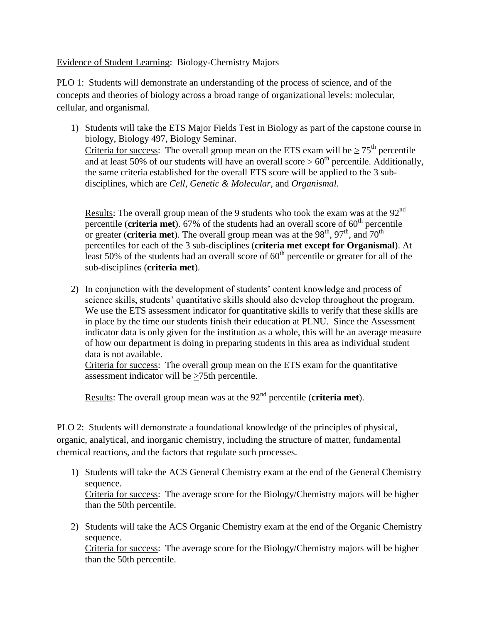Evidence of Student Learning: Biology-Chemistry Majors

PLO 1: Students will demonstrate an understanding of the process of science, and of the concepts and theories of biology across a broad range of organizational levels: molecular, cellular, and organismal.

1) Students will take the ETS Major Fields Test in Biology as part of the capstone course in biology, Biology 497, Biology Seminar. Criteria for success: The overall group mean on the ETS exam will be  $\geq 75^{\text{th}}$  percentile and at least 50% of our students will have an overall score  $\geq 60^{th}$  percentile. Additionally, the same criteria established for the overall ETS score will be applied to the 3 subdisciplines, which are *Cell*, *Genetic & Molecular*, and *Organismal*.

Results: The overall group mean of the 9 students who took the exam was at the  $92<sup>nd</sup>$ percentile (**criteria met**). 67% of the students had an overall score of  $60<sup>th</sup>$  percentile or greater (**criteria met**). The overall group mean was at the  $98<sup>th</sup>$ ,  $97<sup>th</sup>$ , and  $70<sup>th</sup>$ percentiles for each of the 3 sub-disciplines (**criteria met except for Organismal**). At least 50% of the students had an overall score of  $60<sup>th</sup>$  percentile or greater for all of the sub-disciplines (**criteria met**).

2) In conjunction with the development of students' content knowledge and process of science skills, students' quantitative skills should also develop throughout the program. We use the ETS assessment indicator for quantitative skills to verify that these skills are in place by the time our students finish their education at PLNU. Since the Assessment indicator data is only given for the institution as a whole, this will be an average measure of how our department is doing in preparing students in this area as individual student data is not available.

Criteria for success: The overall group mean on the ETS exam for the quantitative assessment indicator will be >75th percentile.

Results: The overall group mean was at the 92<sup>nd</sup> percentile (**criteria met**).

PLO 2: Students will demonstrate a foundational knowledge of the principles of physical, organic, analytical, and inorganic chemistry, including the structure of matter, fundamental chemical reactions, and the factors that regulate such processes.

- 1) Students will take the ACS General Chemistry exam at the end of the General Chemistry sequence. Criteria for success: The average score for the Biology/Chemistry majors will be higher than the 50th percentile.
- 2) Students will take the ACS Organic Chemistry exam at the end of the Organic Chemistry sequence.

Criteria for success: The average score for the Biology/Chemistry majors will be higher than the 50th percentile.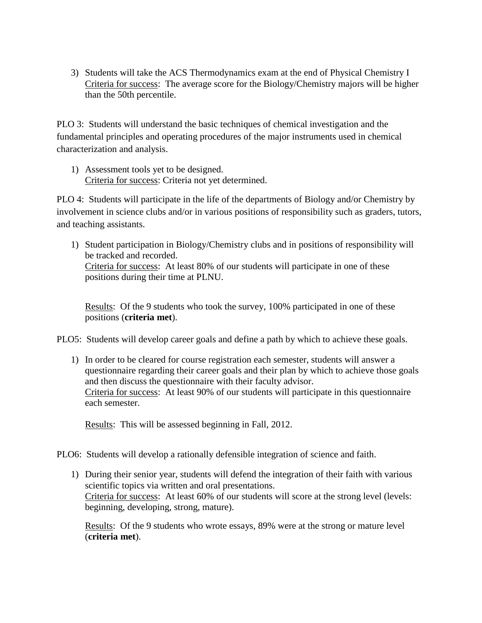3) Students will take the ACS Thermodynamics exam at the end of Physical Chemistry I Criteria for success: The average score for the Biology/Chemistry majors will be higher than the 50th percentile.

PLO 3: Students will understand the basic techniques of chemical investigation and the fundamental principles and operating procedures of the major instruments used in chemical characterization and analysis.

1) Assessment tools yet to be designed. Criteria for success: Criteria not yet determined.

PLO 4: Students will participate in the life of the departments of Biology and/or Chemistry by involvement in science clubs and/or in various positions of responsibility such as graders, tutors, and teaching assistants.

1) Student participation in Biology/Chemistry clubs and in positions of responsibility will be tracked and recorded. Criteria for success: At least 80% of our students will participate in one of these positions during their time at PLNU.

Results: Of the 9 students who took the survey, 100% participated in one of these positions (**criteria met**).

PLO5: Students will develop career goals and define a path by which to achieve these goals.

1) In order to be cleared for course registration each semester, students will answer a questionnaire regarding their career goals and their plan by which to achieve those goals and then discuss the questionnaire with their faculty advisor. Criteria for success: At least 90% of our students will participate in this questionnaire each semester.

Results: This will be assessed beginning in Fall, 2012.

- PLO6: Students will develop a rationally defensible integration of science and faith.
	- 1) During their senior year, students will defend the integration of their faith with various scientific topics via written and oral presentations. Criteria for success: At least 60% of our students will score at the strong level (levels: beginning, developing, strong, mature).

Results: Of the 9 students who wrote essays, 89% were at the strong or mature level (**criteria met**).